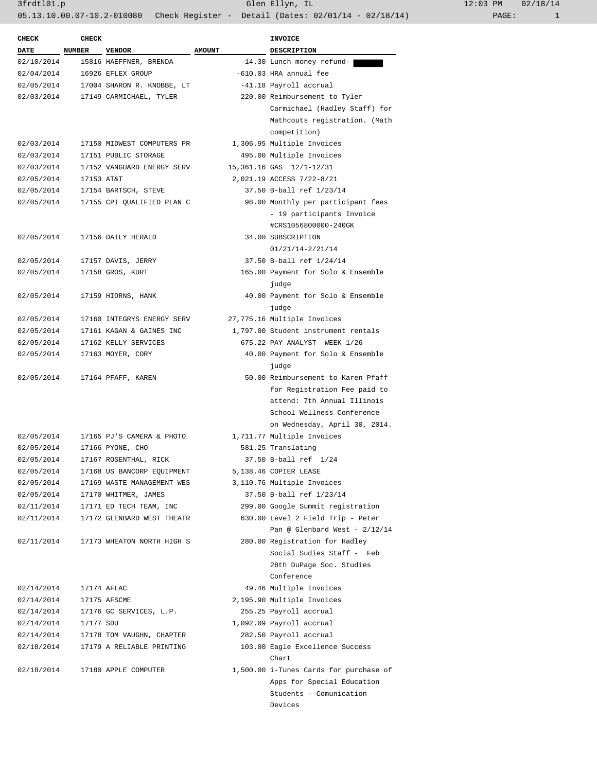| <b>CHECK</b> | <b>CHECK</b> |                                    |               | <b>INVOICE</b>                         |
|--------------|--------------|------------------------------------|---------------|----------------------------------------|
| <b>DATE</b>  | NUMBER       | <b>VENDOR</b>                      | <b>AMOUNT</b> | <b>DESCRIPTION</b>                     |
| 02/10/2014   |              | 15816 HAEFFNER, BRENDA             |               | -14.30 Lunch money refund-             |
| 02/04/2014   |              | 16926 EFLEX GROUP                  |               | -610.03 HRA annual fee                 |
| 02/05/2014   |              | 17004 SHARON R. KNOBBE, LT         |               | -41.18 Payroll accrual                 |
|              |              | 02/03/2014 17149 CARMICHAEL, TYLER |               | 220.00 Reimbursement to Tyler          |
|              |              |                                    |               | Carmichael (Hadley Staff) for          |
|              |              |                                    |               | Mathcouts registration. (Math          |
|              |              |                                    |               | competition)                           |
| 02/03/2014   |              | 17150 MIDWEST COMPUTERS PR         |               | 1,306.95 Multiple Invoices             |
| 02/03/2014   |              | 17151 PUBLIC STORAGE               |               | 495.00 Multiple Invoices               |
| 02/03/2014   |              | 17152 VANGUARD ENERGY SERV         |               | 15,361.16 GAS 12/1-12/31               |
| 02/05/2014   | 17153 AT&T   |                                    |               | 2,021.19 ACCESS 7/22-8/21              |
| 02/05/2014   |              | 17154 BARTSCH, STEVE               |               | 37.50 B-ball ref 1/23/14               |
| 02/05/2014   |              | 17155 CPI QUALIFIED PLAN C         |               | 98.00 Monthly per participant fees     |
|              |              |                                    |               | - 19 participants Invoice              |
|              |              |                                    |               | #CRS1056800000-240GK                   |
| 02/05/2014   |              | 17156 DAILY HERALD                 |               | 34.00 SUBSCRIPTION                     |
|              |              |                                    |               | 01/21/14-2/21/14                       |
| 02/05/2014   |              | 17157 DAVIS, JERRY                 |               | 37.50 B-ball ref 1/24/14               |
| 02/05/2014   |              | 17158 GROS, KURT                   |               | 165.00 Payment for Solo & Ensemble     |
|              |              |                                    |               | judge                                  |
| 02/05/2014   |              | 17159 HIORNS, HANK                 |               | 40.00 Payment for Solo & Ensemble      |
|              |              |                                    |               | judge                                  |
| 02/05/2014   |              | 17160 INTEGRYS ENERGY SERV         |               | 27,775.16 Multiple Invoices            |
| 02/05/2014   |              | 17161 KAGAN & GAINES INC           |               | 1,797.00 Student instrument rentals    |
| 02/05/2014   |              | 17162 KELLY SERVICES               |               | 675.22 PAY ANALYST WEEK 1/26           |
| 02/05/2014   |              | 17163 MOYER, CORY                  |               | 40.00 Payment for Solo & Ensemble      |
|              |              |                                    |               | judge                                  |
| 02/05/2014   |              | 17164 PFAFF, KAREN                 |               | 50.00 Reimbursement to Karen Pfaff     |
|              |              |                                    |               | for Registration Fee paid to           |
|              |              |                                    |               | attend: 7th Annual Illinois            |
|              |              |                                    |               | School Wellness Conference             |
|              |              |                                    |               | on Wednesday, April 30, 2014.          |
| 02/05/2014   |              | 17165 PJ'S CAMERA & PHOTO          |               | 1,711.77 Multiple Invoices             |
| 02/05/2014   |              | 17166 PYONE, CHO                   |               | 581.25 Translating                     |
| 02/05/2014   |              | 17167 ROSENTHAL, RICK              |               | 37.50 B-ball ref 1/24                  |
| 02/05/2014   |              | 17168 US BANCORP EQUIPMENT         |               | 5,138.46 COPIER LEASE                  |
| 02/05/2014   |              | 17169 WASTE MANAGEMENT WES         |               | 3,110.76 Multiple Invoices             |
| 02/05/2014   |              | 17170 WHITMER, JAMES               |               | 37.50 B-ball ref 1/23/14               |
| 02/11/2014   |              | 17171 ED TECH TEAM, INC            |               | 299.00 Google Summit registration      |
| 02/11/2014   |              | 17172 GLENBARD WEST THEATR         |               | 630.00 Level 2 Field Trip - Peter      |
|              |              |                                    |               | Pan @ Glenbard West - $2/12/14$        |
| 02/11/2014   |              | 17173 WHEATON NORTH HIGH S         |               | 280.00 Registration for Hadley         |
|              |              |                                    |               | Social Sudies Staff - Feb              |
|              |              |                                    |               | 28th DuPage Soc. Studies               |
|              |              |                                    |               | Conference                             |
| 02/14/2014   |              | 17174 AFLAC                        |               | 49.46 Multiple Invoices                |
| 02/14/2014   |              | 17175 AFSCME                       |               | 2,195.90 Multiple Invoices             |
| 02/14/2014   |              | 17176 GC SERVICES, L.P.            |               | 255.25 Payroll accrual                 |
| 02/14/2014   | 17177 SDU    |                                    |               | 1,092.09 Payroll accrual               |
| 02/14/2014   |              | 17178 TOM VAUGHN, CHAPTER          |               | 282.50 Payroll accrual                 |
| 02/18/2014   |              | 17179 A RELIABLE PRINTING          |               | 103.00 Eagle Excellence Success        |
|              |              |                                    |               | Chart                                  |
| 02/18/2014   |              | 17180 APPLE COMPUTER               |               | 1,500.00 i-Tunes Cards for purchase of |
|              |              |                                    |               | Apps for Special Education             |
|              |              |                                    |               | Students - Comunication                |
|              |              |                                    |               | Devices                                |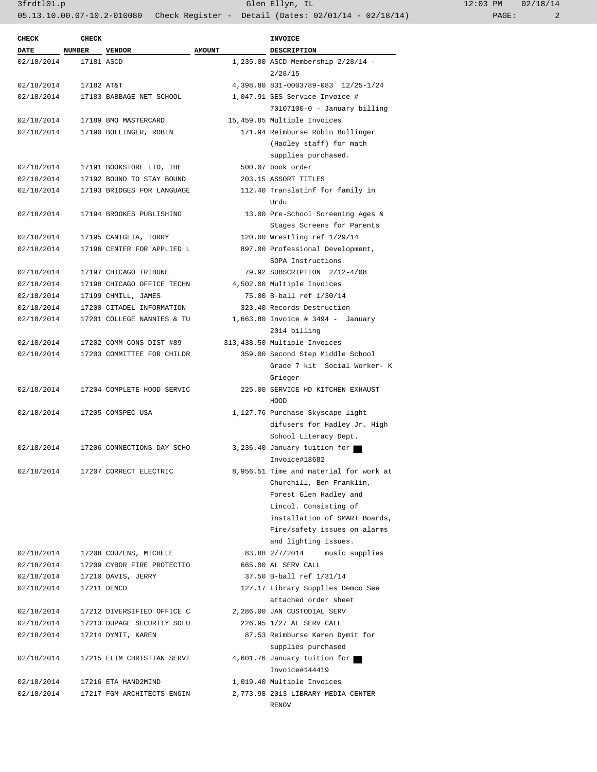3frdtl01.p Glen Ellyn, IL 12:03 PM 02/18/14

05.13.10.00.07-10.2-010080 Check Register - Detail (Dates: 02/01/14 - 02/18/14) PAGE: 2

| .2:03 PM |       | 02/18/14 |
|----------|-------|----------|
|          | PAGE: | 2        |

| <b>CHECK</b> | <b>CHECK</b> |                            |               | <b>INVOICE</b>                                                                     |
|--------------|--------------|----------------------------|---------------|------------------------------------------------------------------------------------|
| <b>DATE</b>  | NUMBER       | <b>VENDOR</b>              | <b>AMOUNT</b> | <b>DESCRIPTION</b>                                                                 |
| 02/18/2014   | 17181 ASCD   |                            |               | 1,235.00 ASCD Membership 2/28/14 -<br>2/28/15                                      |
| 02/18/2014   | 17182 AT&T   |                            |               | 4,398.80 831-0003789-083 12/25-1/24                                                |
| 02/18/2014   |              | 17183 BABBAGE NET SCHOOL   |               | 1,047.91 SES Service Invoice #                                                     |
|              |              |                            |               | $70107100 - 0$ - January billing                                                   |
| 02/18/2014   |              | 17189 BMO MASTERCARD       |               | 15,459.85 Multiple Invoices                                                        |
| 02/18/2014   |              | 17190 BOLLINGER, ROBIN     |               | 171.94 Reimburse Robin Bollinger<br>(Hadley staff) for math<br>supplies purchased. |
| 02/18/2014   |              | 17191 BOOKSTORE LTD, THE   |               | 500.07 book order                                                                  |
| 02/18/2014   |              | 17192 BOUND TO STAY BOUND  |               | 203.15 ASSORT TITLES                                                               |
| 02/18/2014   |              | 17193 BRIDGES FOR LANGUAGE |               | 112.40 Translatinf for family in                                                   |
|              |              |                            |               | Urdu                                                                               |
| 02/18/2014   |              | 17194 BROOKES PUBLISHING   |               | 13.00 Pre-School Screening Ages &<br>Stages Screens for Parents                    |
| 02/18/2014   |              | 17195 CANIGLIA, TORRY      |               | 120.00 Wrestling ref 1/29/14                                                       |
| 02/18/2014   |              | 17196 CENTER FOR APPLIED L |               | 897.00 Professional Development,                                                   |
|              |              |                            |               | SOPA Instructions                                                                  |
|              |              | 17197 CHICAGO TRIBUNE      |               |                                                                                    |
| 02/18/2014   |              | 17198 CHICAGO OFFICE TECHN |               | 79.92 SUBSCRIPTION 2/12-4/08                                                       |
| 02/18/2014   |              |                            |               | 4,502.00 Multiple Invoices                                                         |
| 02/18/2014   |              | 17199 CHMILL, JAMES        |               | 75.00 B-ball ref 1/30/14                                                           |
| 02/18/2014   |              | 17200 CITADEL INFORMATION  |               | 323.40 Records Destruction                                                         |
| 02/18/2014   |              | 17201 COLLEGE NANNIES & TU |               | 1,663.80 Invoice # 3494 - January<br>2014 billing                                  |
|              |              |                            |               |                                                                                    |
| 02/18/2014   |              | 17202 COMM CONS DIST #89   |               | 313,438.50 Multiple Invoices                                                       |
| 02/18/2014   |              | 17203 COMMITTEE FOR CHILDR |               | 359.00 Second Step Middle School<br>Grade 7 kit Social Worker- K                   |
|              |              |                            |               | Grieger                                                                            |
| 02/18/2014   |              | 17204 COMPLETE HOOD SERVIC |               | 225.00 SERVICE HD KITCHEN EXHAUST<br>HOOD                                          |
| 02/18/2014   |              | 17205 COMSPEC USA          |               | 1,127.76 Purchase Skyscape light                                                   |
|              |              |                            |               | difusers for Hadley Jr. High                                                       |
|              |              |                            |               | School Literacy Dept.                                                              |
| 02/18/2014   |              | 17206 CONNECTIONS DAY SCHO |               | 3,236.40 January tuition for<br>Invoice#18682                                      |
| 02/18/2014   |              | 17207 CORRECT ELECTRIC     |               | 8,956.51 Time and material for work at                                             |
|              |              |                            |               | Churchill, Ben Franklin,                                                           |
|              |              |                            |               | Forest Glen Hadley and                                                             |
|              |              |                            |               | Lincol. Consisting of                                                              |
|              |              |                            |               | installation of SMART Boards,                                                      |
|              |              |                            |               | Fire/safety issues on alarms                                                       |
|              |              |                            |               | and lighting issues.                                                               |
| 02/18/2014   |              | 17208 COUZENS, MICHELE     |               | 83.88 2/7/2014 music supplies                                                      |
| 02/18/2014   |              | 17209 CYBOR FIRE PROTECTIO |               | 665.00 AL SERV CALL                                                                |
| 02/18/2014   |              | 17210 DAVIS, JERRY         |               | 37.50 B-ball ref 1/31/14                                                           |
| 02/18/2014   |              | 17211 DEMCO                |               | 127.17 Library Supplies Demco See                                                  |
|              |              |                            |               | attached order sheet                                                               |
| 02/18/2014   |              | 17212 DIVERSIFIED OFFICE C |               | 2,286.00 JAN CUSTODIAL SERV                                                        |
| 02/18/2014   |              | 17213 DUPAGE SECURITY SOLU |               | 226.95 1/27 AL SERV CALL                                                           |
| 02/18/2014   |              | 17214 DYMIT, KAREN         |               | 87.53 Reimburse Karen Dymit for<br>supplies purchased                              |
| 02/18/2014   |              | 17215 ELIM CHRISTIAN SERVI |               | 4,601.76 January tuition for                                                       |
|              |              |                            |               | Invoice#144419                                                                     |
|              |              |                            |               | 1,019.40 Multiple Invoices                                                         |
| 02/18/2014   |              | 17216 ETA HAND2MIND        |               |                                                                                    |
| 02/18/2014   |              | 17217 FGM ARCHITECTS-ENGIN |               | 2,773.98 2013 LIBRARY MEDIA CENTER                                                 |
|              |              |                            |               | RENOV                                                                              |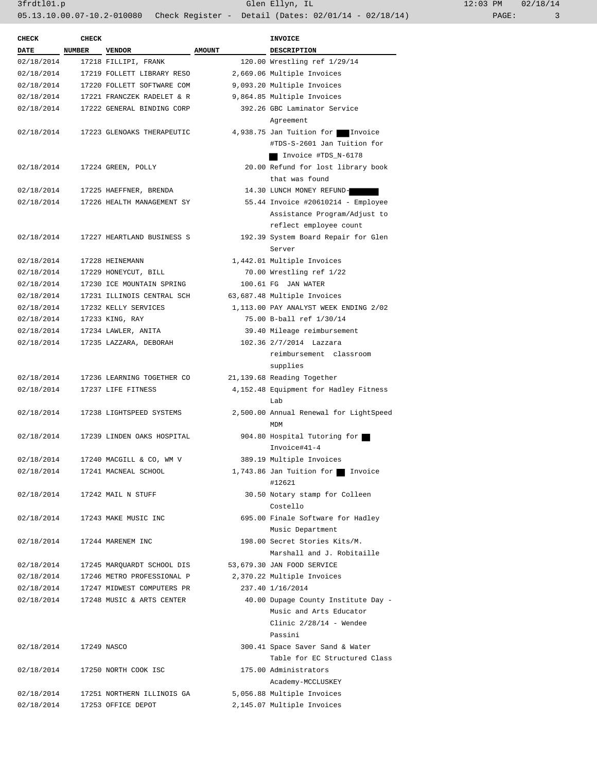| <b>CHECK</b>             | <b>CHECK</b> |                                                   |               | <b>INVOICE</b>                                         |
|--------------------------|--------------|---------------------------------------------------|---------------|--------------------------------------------------------|
| DATE NUMBER VENDOR       |              |                                                   | <b>AMOUNT</b> | DESCRIPTION                                            |
| 02/18/2014               |              | 17218 FILLIPI, FRANK                              |               | 120.00 Wrestling ref 1/29/14                           |
| 02/18/2014               |              | 17219 FOLLETT LIBRARY RESO                        |               | 2,669.06 Multiple Invoices                             |
| 02/18/2014               |              | 17220 FOLLETT SOFTWARE COM                        |               | 9,093.20 Multiple Invoices                             |
| 02/18/2014               |              | 17221 FRANCZEK RADELET & R                        |               | 9,864.85 Multiple Invoices                             |
| 02/18/2014               |              | 17222 GENERAL BINDING CORP                        |               | 392.26 GBC Laminator Service                           |
|                          |              |                                                   |               | Agreement                                              |
| 02/18/2014               |              | 17223 GLENOAKS THERAPEUTIC                        |               | 4,938.75 Jan Tuition for Invoice                       |
|                          |              |                                                   |               | #TDS-S-2601 Jan Tuition for                            |
|                          |              |                                                   |               | Invoice #TDS_N-6178                                    |
| 02/18/2014               |              | 17224 GREEN, POLLY                                |               | 20.00 Refund for lost library book                     |
|                          |              |                                                   |               | that was found                                         |
| 02/18/2014               |              | 17225 HAEFFNER, BRENDA                            |               | 14.30 LUNCH MONEY REFUND-                              |
| 02/18/2014               |              | 17226 HEALTH MANAGEMENT SY                        |               | 55.44 Invoice #20610214 - Employee                     |
|                          |              |                                                   |               | Assistance Program/Adjust to                           |
|                          |              |                                                   |               | reflect employee count                                 |
| 02/18/2014               |              | 17227 HEARTLAND BUSINESS S                        |               | 192.39 System Board Repair for Glen                    |
|                          |              |                                                   |               | Server                                                 |
|                          |              |                                                   |               |                                                        |
| 02/18/2014<br>02/18/2014 |              | 17228 HEINEMANN                                   |               | 1,442.01 Multiple Invoices<br>70.00 Wrestling ref 1/22 |
|                          |              | 17229 HONEYCUT, BILL<br>17230 ICE MOUNTAIN SPRING |               |                                                        |
| 02/18/2014               |              |                                                   |               | 100.61 FG JAN WATER                                    |
| 02/18/2014               |              | 17231 ILLINOIS CENTRAL SCH                        |               | 63,687.48 Multiple Invoices                            |
| 02/18/2014               |              | 17232 KELLY SERVICES                              |               | 1,113.00 PAY ANALYST WEEK ENDING 2/02                  |
| 02/18/2014               |              | 17233 KING, RAY                                   |               | 75.00 B-ball ref 1/30/14                               |
| 02/18/2014               |              | 17234 LAWLER, ANITA                               |               | 39.40 Mileage reimbursement                            |
| 02/18/2014               |              | 17235 LAZZARA, DEBORAH                            |               | 102.36 2/7/2014 Lazzara                                |
|                          |              |                                                   |               | reimbursement classroom                                |
|                          |              |                                                   |               | supplies                                               |
| 02/18/2014               |              | 17236 LEARNING TOGETHER CO                        |               | 21,139.68 Reading Together                             |
| 02/18/2014               |              | 17237 LIFE FITNESS                                |               | 4, 152.48 Equipment for Hadley Fitness                 |
|                          |              |                                                   |               | Lab                                                    |
| 02/18/2014               |              | 17238 LIGHTSPEED SYSTEMS                          |               | 2,500.00 Annual Renewal for LightSpeed                 |
|                          |              |                                                   |               | MDM                                                    |
| 02/18/2014               |              | 17239 LINDEN OAKS HOSPITAL                        |               | 904.80 Hospital Tutoring for                           |
|                          |              |                                                   |               | Invoice#41-4                                           |
| 02/18/2014               |              | 17240 MACGILL & CO, WM V                          |               | 389.19 Multiple Invoices                               |
| 02/18/2014               |              | 17241 MACNEAL SCHOOL                              |               | 1,743.86 Jan Tuition for Invoice                       |
|                          |              |                                                   |               | #12621                                                 |
| 02/18/2014               |              | 17242 MAIL N STUFF                                |               | 30.50 Notary stamp for Colleen                         |
|                          |              |                                                   |               | Costello                                               |
| 02/18/2014               |              | 17243 MAKE MUSIC INC                              |               | 695.00 Finale Software for Hadley                      |
|                          |              |                                                   |               | Music Department                                       |
| 02/18/2014               |              | 17244 MARENEM INC                                 |               | 198.00 Secret Stories Kits/M.                          |
|                          |              |                                                   |               | Marshall and J. Robitaille                             |
| 02/18/2014               |              | 17245 MARQUARDT SCHOOL DIS                        |               | 53,679.30 JAN FOOD SERVICE                             |
| 02/18/2014               |              | 17246 METRO PROFESSIONAL P                        |               | 2,370.22 Multiple Invoices                             |
| 02/18/2014               |              | 17247 MIDWEST COMPUTERS PR                        |               | 237.40 1/16/2014                                       |
| 02/18/2014               |              | 17248 MUSIC & ARTS CENTER                         |               | 40.00 Dupage County Institute Day -                    |
|                          |              |                                                   |               | Music and Arts Educator                                |
|                          |              |                                                   |               | Clinic $2/28/14$ - Wendee                              |
|                          |              |                                                   |               | Passini                                                |
| 02/18/2014               |              | 17249 NASCO                                       |               | 300.41 Space Saver Sand & Water                        |
|                          |              |                                                   |               | Table for EC Structured Class                          |
| 02/18/2014               |              | 17250 NORTH COOK ISC                              |               | 175.00 Administrators                                  |
|                          |              |                                                   |               | Academy-MCCLUSKEY                                      |
| 02/18/2014               |              | 17251 NORTHERN ILLINOIS GA                        |               | 5,056.88 Multiple Invoices                             |
| 02/18/2014               |              | 17253 OFFICE DEPOT                                |               | 2,145.07 Multiple Invoices                             |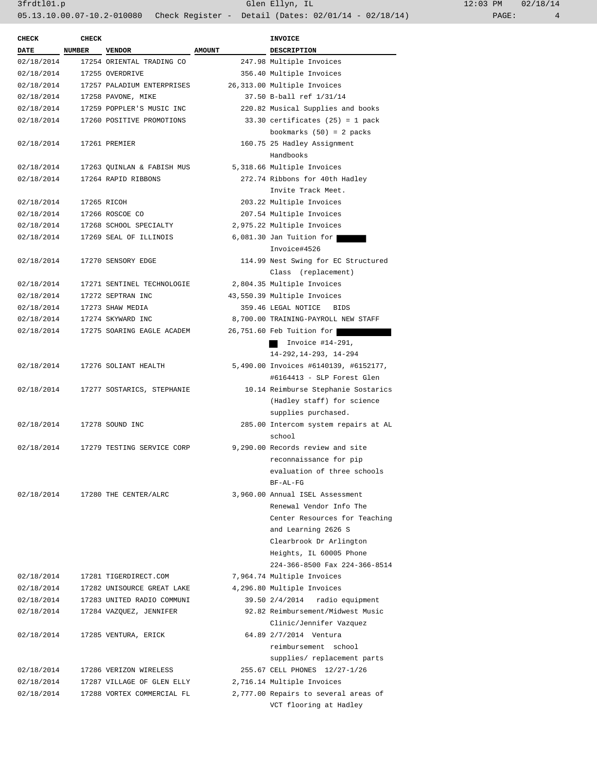| <b>CHECK</b> | <b>CHECK</b> |                            |               | <b>INVOICE</b>                        |
|--------------|--------------|----------------------------|---------------|---------------------------------------|
| DATE         | NUMBER       | <b>VENDOR</b>              | <b>AMOUNT</b> | <b>DESCRIPTION</b>                    |
| 02/18/2014   |              | 17254 ORIENTAL TRADING CO  |               | 247.98 Multiple Invoices              |
| 02/18/2014   |              | 17255 OVERDRIVE            |               | 356.40 Multiple Invoices              |
| 02/18/2014   |              | 17257 PALADIUM ENTERPRISES |               | 26,313.00 Multiple Invoices           |
| 02/18/2014   |              | 17258 PAVONE, MIKE         |               | 37.50 B-ball ref 1/31/14              |
| 02/18/2014   |              | 17259 POPPLER'S MUSIC INC  |               | 220.82 Musical Supplies and books     |
| 02/18/2014   |              | 17260 POSITIVE PROMOTIONS  |               | $33.30$ certificates $(25) = 1$ pack  |
|              |              |                            |               |                                       |
|              |              |                            |               | bookmarks $(50) = 2$ packs            |
| 02/18/2014   |              | 17261 PREMIER              |               | 160.75 25 Hadley Assignment           |
|              |              |                            |               | Handbooks                             |
| 02/18/2014   |              | 17263 QUINLAN & FABISH MUS |               | 5,318.66 Multiple Invoices            |
| 02/18/2014   |              | 17264 RAPID RIBBONS        |               | 272.74 Ribbons for 40th Hadley        |
|              |              |                            |               | Invite Track Meet.                    |
| 02/18/2014   |              | 17265 RICOH                |               | 203.22 Multiple Invoices              |
| 02/18/2014   |              | 17266 ROSCOE CO            |               | 207.54 Multiple Invoices              |
| 02/18/2014   |              | 17268 SCHOOL SPECIALTY     |               | 2,975.22 Multiple Invoices            |
| 02/18/2014   |              | 17269 SEAL OF ILLINOIS     |               | $6,081.30$ Jan Tuition for            |
|              |              |                            |               | Invoice#4526                          |
| 02/18/2014   |              | 17270 SENSORY EDGE         |               | 114.99 Nest Swing for EC Structured   |
|              |              |                            |               | Class (replacement)                   |
| 02/18/2014   |              | 17271 SENTINEL TECHNOLOGIE |               | 2,804.35 Multiple Invoices            |
| 02/18/2014   |              | 17272 SEPTRAN INC          |               | 43,550.39 Multiple Invoices           |
| 02/18/2014   |              | 17273 SHAW MEDIA           |               | 359.46 LEGAL NOTICE<br>BIDS           |
| 02/18/2014   |              | 17274 SKYWARD INC          |               | 8,700.00 TRAINING-PAYROLL NEW STAFF   |
| 02/18/2014   |              | 17275 SOARING EAGLE ACADEM |               | 26,751.60 Feb Tuition for             |
|              |              |                            |               |                                       |
|              |              |                            |               | Invoice $#14-291$ ,                   |
|              |              |                            |               | $14-292, 14-293, 14-294$              |
| 02/18/2014   |              | 17276 SOLIANT HEALTH       |               | 5,490.00 Invoices #6140139, #6152177, |
|              |              |                            |               | #6164413 - SLP Forest Glen            |
| 02/18/2014   |              | 17277 SOSTARICS, STEPHANIE |               | 10.14 Reimburse Stephanie Sostarics   |
|              |              |                            |               | (Hadley staff) for science            |
|              |              |                            |               | supplies purchased.                   |
| 02/18/2014   |              | 17278 SOUND INC            |               | 285.00 Intercom system repairs at AL  |
|              |              |                            |               | school                                |
| 02/18/2014   |              | 17279 TESTING SERVICE CORP |               | 9,290.00 Records review and site      |
|              |              |                            |               | reconnaissance for pip                |
|              |              |                            |               | evaluation of three schools           |
|              |              |                            |               | BF-AL-FG                              |
| 02/18/2014   |              | 17280 THE CENTER/ALRC      |               | 3,960.00 Annual ISEL Assessment       |
|              |              |                            |               | Renewal Vendor Info The               |
|              |              |                            |               | Center Resources for Teaching         |
|              |              |                            |               | and Learning 2626 S                   |
|              |              |                            |               | Clearbrook Dr Arlington               |
|              |              |                            |               | Heights, IL 60005 Phone               |
|              |              |                            |               | 224-366-8500 Fax 224-366-8514         |
| 02/18/2014   |              | 17281 TIGERDIRECT.COM      |               | 7,964.74 Multiple Invoices            |
|              |              |                            |               |                                       |
| 02/18/2014   |              | 17282 UNISOURCE GREAT LAKE |               | 4,296.80 Multiple Invoices            |
| 02/18/2014   |              | 17283 UNITED RADIO COMMUNI |               | 39.50 2/4/2014 radio equipment        |
| 02/18/2014   |              | 17284 VAZQUEZ, JENNIFER    |               | 92.82 Reimbursement/Midwest Music     |
|              |              |                            |               | Clinic/Jennifer Vazquez               |
| 02/18/2014   |              | 17285 VENTURA, ERICK       |               | 64.89 2/7/2014 Ventura                |
|              |              |                            |               | reimbursement school                  |
|              |              |                            |               | supplies/ replacement parts           |
| 02/18/2014   |              | 17286 VERIZON WIRELESS     |               | 255.67 CELL PHONES 12/27-1/26         |
| 02/18/2014   |              | 17287 VILLAGE OF GLEN ELLY |               | 2,716.14 Multiple Invoices            |
| 02/18/2014   |              | 17288 VORTEX COMMERCIAL FL |               | 2,777.00 Repairs to several areas of  |
|              |              |                            |               | VCT flooring at Hadley                |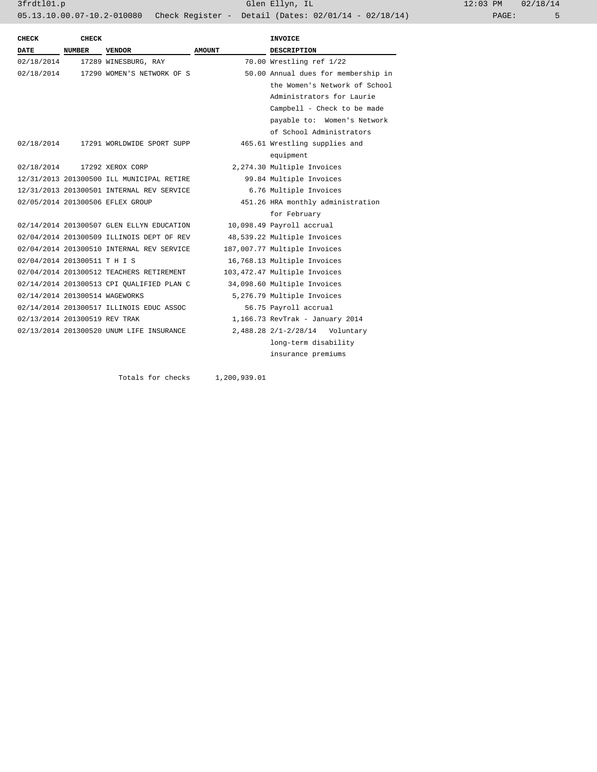3frdtl01.p Glen Ellyn, IL 12:03 PM 02/18/14 05.13.10.00.07-10.2-010080 Check Register - Detail (Dates: 02/01/14 - 02/18/14)

| <b>CHECK</b>                   | <b>CHECK</b>  |                                           |               | <b>INVOICE</b>                      |
|--------------------------------|---------------|-------------------------------------------|---------------|-------------------------------------|
| DATE                           | <b>NUMBER</b> | VENDOR                                    | <b>AMOUNT</b> | <b>DESCRIPTION</b>                  |
| 02/18/2014                     |               | 17289 WINESBURG, RAY                      |               | 70.00 Wrestling ref 1/22            |
| 02/18/2014                     |               | 17290 WOMEN'S NETWORK OF S                |               | 50.00 Annual dues for membership in |
|                                |               |                                           |               | the Women's Network of School       |
|                                |               |                                           |               | Administrators for Laurie           |
|                                |               |                                           |               | Campbell - Check to be made         |
|                                |               |                                           |               | payable to: Women's Network         |
|                                |               |                                           |               | of School Administrators            |
| 02/18/2014                     |               | 17291 WORLDWIDE SPORT SUPP                |               | 465.61 Wrestling supplies and       |
|                                |               |                                           |               | equipment                           |
| 02/18/2014                     |               | 17292 XEROX CORP                          |               | 2,274.30 Multiple Invoices          |
|                                |               | 12/31/2013 201300500 ILL MUNICIPAL RETIRE |               | 99.84 Multiple Invoices             |
|                                |               | 12/31/2013 201300501 INTERNAL REV SERVICE |               | 6.76 Multiple Invoices              |
|                                |               | 02/05/2014 201300506 EFLEX GROUP          |               | 451.26 HRA monthly administration   |
|                                |               |                                           |               | for February                        |
|                                |               | 02/14/2014 201300507 GLEN ELLYN EDUCATION |               | 10,098.49 Payroll accrual           |
|                                |               | 02/04/2014 201300509 ILLINOIS DEPT OF REV |               | 48,539.22 Multiple Invoices         |
|                                |               | 02/04/2014 201300510 INTERNAL REV SERVICE |               | 187,007.77 Multiple Invoices        |
| 02/04/2014 201300511 T H I S   |               |                                           |               | 16,768.13 Multiple Invoices         |
|                                |               | 02/04/2014 201300512 TEACHERS RETIREMENT  |               | 103,472.47 Multiple Invoices        |
|                                |               | 02/14/2014 201300513 CPI OUALIFIED PLAN C |               | 34,098.60 Multiple Invoices         |
| 02/14/2014 201300514 WAGEWORKS |               |                                           |               | 5,276.79 Multiple Invoices          |
|                                |               | 02/14/2014 201300517 ILLINOIS EDUC ASSOC  |               | 56.75 Payroll accrual               |
| 02/13/2014 201300519 REV TRAK  |               |                                           |               | 1,166.73 RevTrak - January 2014     |
|                                |               | 02/13/2014 201300520 UNUM LIFE INSURANCE  |               | 2,488.28 2/1-2/28/14 Voluntary      |
|                                |               |                                           |               | long-term disability                |
|                                |               |                                           |               | insurance premiums                  |

Totals for checks 1,200,939.01